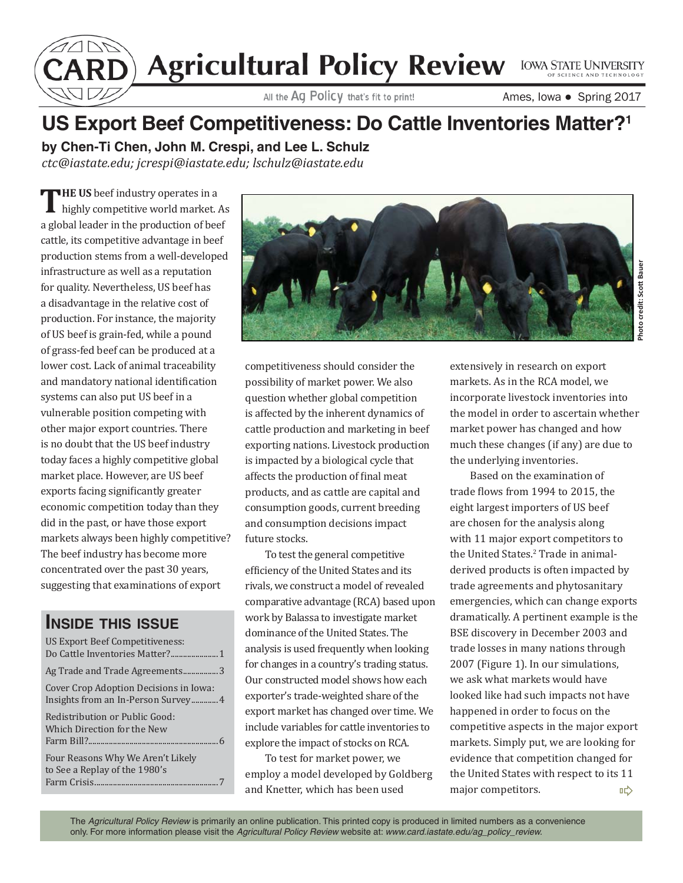Agricultural Policy Review LOWA STATE UNIVERSITY

Ames, Iowa ● Spring 2017

## **US Export Beef Competitiveness: Do Cattle Inventories Matter?1**

**by Chen-Ti Chen, John M. Crespi, and Lee L. Schulz** *ctc@iastate.edu; jcrespi@iastate.edu; lschulz@iastate.edu*

THE US beef industry operates in a highly competitive world market. As a global leader in the production of beef cattle, its competitive advantage in beef production stems from a well-developed infrastructure as well as a reputation for quality. Nevertheless, US beef has a disadvantage in the relative cost of production. For instance, the majority of US beef is grain-fed, while a pound of grass-fed beef can be produced at a lower cost. Lack of animal traceability and mandatory national identification systems can also put US beef in a vulnerable position competing with other major export countries. There is no doubt that the US beef industry today faces a highly competitive global market place. However, are US beef exports facing significantly greater economic competition today than they did in the past, or have those export markets always been highly competitive? The beef industry has become more concentrated over the past 30 years, suggesting that examinations of export

## **INSIDE THIS ISSUE**

| US Export Beef Competitiveness:                                    |
|--------------------------------------------------------------------|
| Ag Trade and Trade Agreements3                                     |
| Cover Crop Adoption Decisions in Iowa:                             |
| Redistribution or Public Good:<br>Which Direction for the New      |
| Four Reasons Why We Aren't Likely<br>to See a Replay of the 1980's |



competitiveness should consider the possibility of market power. We also question whether global competition is affected by the inherent dynamics of cattle production and marketing in beef exporting nations. Livestock production is impacted by a biological cycle that affects the production of final meat products, and as cattle are capital and consumption goods, current breeding and consumption decisions impact future stocks.

To test the general competitive efficiency of the United States and its rivals, we construct a model of revealed comparative advantage (RCA) based upon work by Balassa to investigate market dominance of the United States. The analysis is used frequently when looking for changes in a country's trading status. Our constructed model shows how each exporter's trade-weighted share of the export market has changed over time. We include variables for cattle inventories to explore the impact of stocks on RCA.

To test for market power, we employ a model developed by Goldberg and Knetter, which has been used

extensively in research on export markets. As in the RCA model, we incorporate livestock inventories into the model in order to ascertain whether market power has changed and how much these changes (if any) are due to the underlying inventories.

Based on the examination of trade flows from 1994 to 2015, the eight largest importers of US beef are chosen for the analysis along with 11 major export competitors to the United States.<sup>2</sup> Trade in animalderived products is often impacted by trade agreements and phytosanitary emergencies, which can change exports dramatically. A pertinent example is the BSE discovery in December 2003 and trade losses in many nations through 2007 (Figure 1). In our simulations, we ask what markets would have looked like had such impacts not have happened in order to focus on the competitive aspects in the major export markets. Simply put, we are looking for evidence that competition changed for the United States with respect to its 11 major competitors. 吣

The *Agricultural Policy Review* is primarily an online publication. This printed copy is produced in limited numbers as a convenience only. For more information please visit the *Agricultural Policy Review* website at: *www.card.iastate.edu/ag\_policy\_review.*